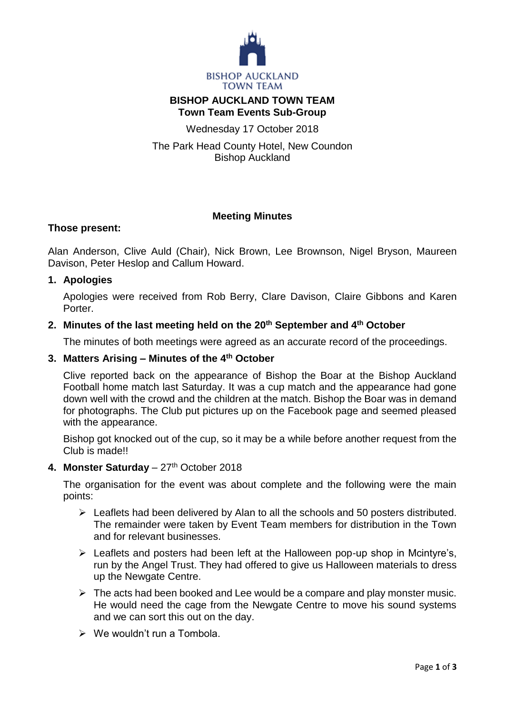

# **BISHOP AUCKLAND TOWN TEAM Town Team Events Sub-Group**

Wednesday 17 October 2018

The Park Head County Hotel, New Coundon Bishop Auckland

## **Meeting Minutes**

#### **Those present:**

Alan Anderson, Clive Auld (Chair), Nick Brown, Lee Brownson, Nigel Bryson, Maureen Davison, Peter Heslop and Callum Howard.

## **1. Apologies**

Apologies were received from Rob Berry, Clare Davison, Claire Gibbons and Karen **Porter** 

### **2. Minutes of the last meeting held on the 20th September and 4th October**

The minutes of both meetings were agreed as an accurate record of the proceedings.

#### **3. Matters Arising – Minutes of the 4th October**

Clive reported back on the appearance of Bishop the Boar at the Bishop Auckland Football home match last Saturday. It was a cup match and the appearance had gone down well with the crowd and the children at the match. Bishop the Boar was in demand for photographs. The Club put pictures up on the Facebook page and seemed pleased with the appearance.

Bishop got knocked out of the cup, so it may be a while before another request from the Club is made!!

#### **4. Monster Saturday** – 27 th October 2018

The organisation for the event was about complete and the following were the main points:

- $\triangleright$  Leaflets had been delivered by Alan to all the schools and 50 posters distributed. The remainder were taken by Event Team members for distribution in the Town and for relevant businesses.
- $\triangleright$  Leaflets and posters had been left at the Halloween pop-up shop in Mcintyre's, run by the Angel Trust. They had offered to give us Halloween materials to dress up the Newgate Centre.
- $\triangleright$  The acts had been booked and Lee would be a compare and play monster music. He would need the cage from the Newgate Centre to move his sound systems and we can sort this out on the day.
- $\triangleright$  We wouldn't run a Tombola.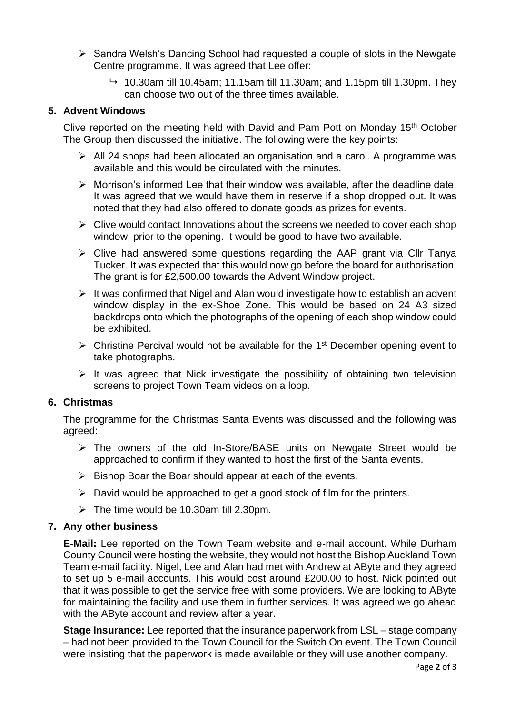- $\triangleright$  Sandra Welsh's Dancing School had requested a couple of slots in the Newgate Centre programme. It was agreed that Lee offer:
	- $\rightarrow$  10.30am till 10.45am; 11.15am till 11.30am; and 1.15pm till 1.30pm. They can choose two out of the three times available.

## **5. Advent Windows**

Clive reported on the meeting held with David and Pam Pott on Monday 15<sup>th</sup> October The Group then discussed the initiative. The following were the key points:

- $\triangleright$  All 24 shops had been allocated an organisation and a carol. A programme was available and this would be circulated with the minutes.
- $\triangleright$  Morrison's informed Lee that their window was available, after the deadline date. It was agreed that we would have them in reserve if a shop dropped out. It was noted that they had also offered to donate goods as prizes for events.
- $\triangleright$  Clive would contact Innovations about the screens we needed to cover each shop window, prior to the opening. It would be good to have two available.
- $\triangleright$  Clive had answered some questions regarding the AAP grant via Cllr Tanya Tucker. It was expected that this would now go before the board for authorisation. The grant is for £2,500.00 towards the Advent Window project.
- $\triangleright$  It was confirmed that Nigel and Alan would investigate how to establish an advent window display in the ex-Shoe Zone. This would be based on 24 A3 sized backdrops onto which the photographs of the opening of each shop window could be exhibited.
- $\triangleright$  Christine Percival would not be available for the 1<sup>st</sup> December opening event to take photographs.
- $\triangleright$  It was agreed that Nick investigate the possibility of obtaining two television screens to project Town Team videos on a loop.

## **6. Christmas**

The programme for the Christmas Santa Events was discussed and the following was agreed:

- The owners of the old In-Store/BASE units on Newgate Street would be approached to confirm if they wanted to host the first of the Santa events.
- $\triangleright$  Bishop Boar the Boar should appear at each of the events.
- $\triangleright$  David would be approached to get a good stock of film for the printers.
- $\triangleright$  The time would be 10.30am till 2.30pm.

## **7. Any other business**

**E-Mail:** Lee reported on the Town Team website and e-mail account. While Durham County Council were hosting the website, they would not host the Bishop Auckland Town Team e-mail facility. Nigel, Lee and Alan had met with Andrew at AByte and they agreed to set up 5 e-mail accounts. This would cost around £200.00 to host. Nick pointed out that it was possible to get the service free with some providers. We are looking to AByte for maintaining the facility and use them in further services. It was agreed we go ahead with the AByte account and review after a year.

**Stage Insurance:** Lee reported that the insurance paperwork from LSL – stage company – had not been provided to the Town Council for the Switch On event. The Town Council were insisting that the paperwork is made available or they will use another company.